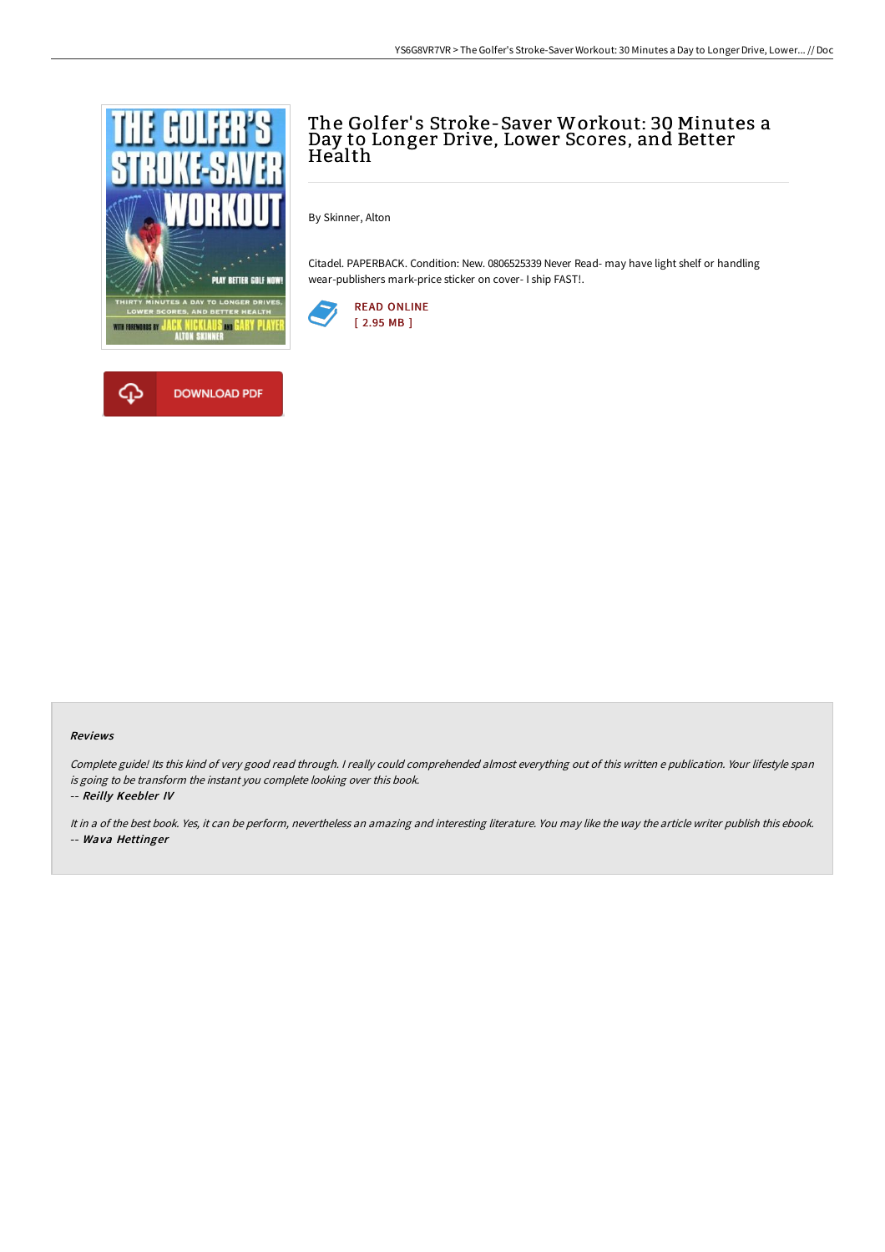

**DOWNLOAD PDF** 

# The Golfer's Stroke-Saver Workout: 30 Minutes a Day to Longer Drive, Lower Scores, and Better Health

By Skinner, Alton

Citadel. PAPERBACK. Condition: New. 0806525339 Never Read- may have light shelf or handling wear-publishers mark-price sticker on cover- I ship FAST!.



#### Reviews

Complete guide! Its this kind of very good read through. <sup>I</sup> really could comprehended almost everything out of this written <sup>e</sup> publication. Your lifestyle span is going to be transform the instant you complete looking over this book.

-- Reilly Keebler IV

It in <sup>a</sup> of the best book. Yes, it can be perform, nevertheless an amazing and interesting literature. You may like the way the article writer publish this ebook. -- Wava Hettinger